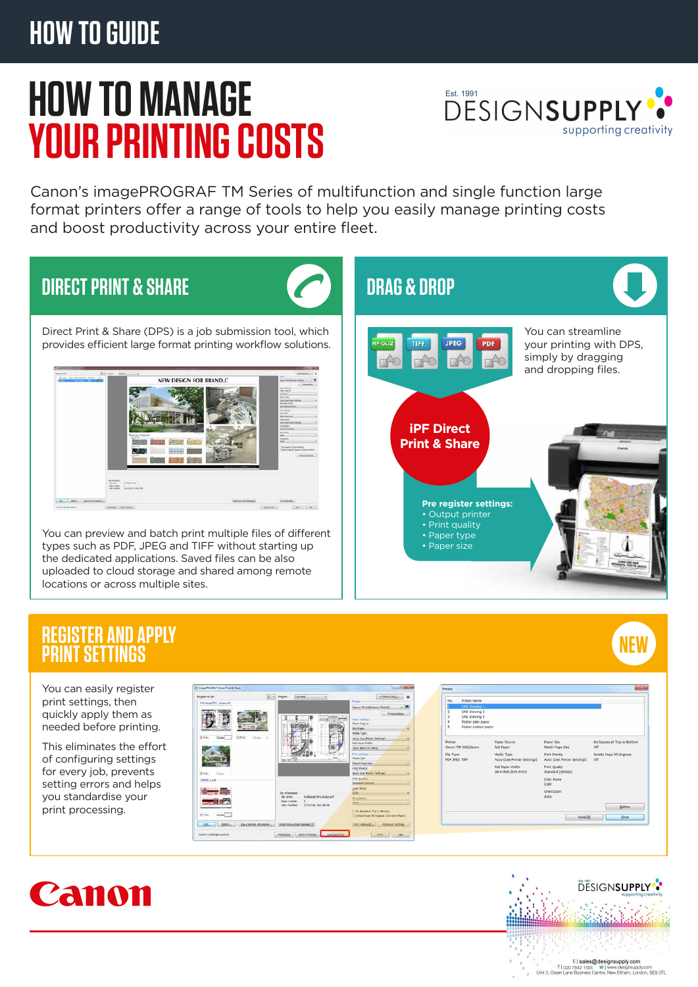# **HOW TO GUIDE**

# **HOW TO MANAGE YOUR PRINTING COSTS**



Canon's imagePROGRAF TM Series of multifunction and single function large format printers offer a range of tools to help you easily manage printing costs and boost productivity across your entire fleet.

# **DIRECT PRINT & SHARE**



Direct Print & Share (DPS) is a job submission tool, which provides efficient large format printing workflow solutions.



You can preview and batch print multiple files of different types such as PDF, JPEG and TIFF without starting up the dedicated applications. Saved files can be also uploaded to cloud storage and shared among remote locations or across multiple sites.



#### **REGISTER AND APPLY PRINT SETTINGS**



You can easily register print settings, then quickly apply them as needed before printing.

This eliminates the effort of configuring settings for every job, prevents setting errors and helps you standardise your print processing.





Unit 2, Gre



Canon